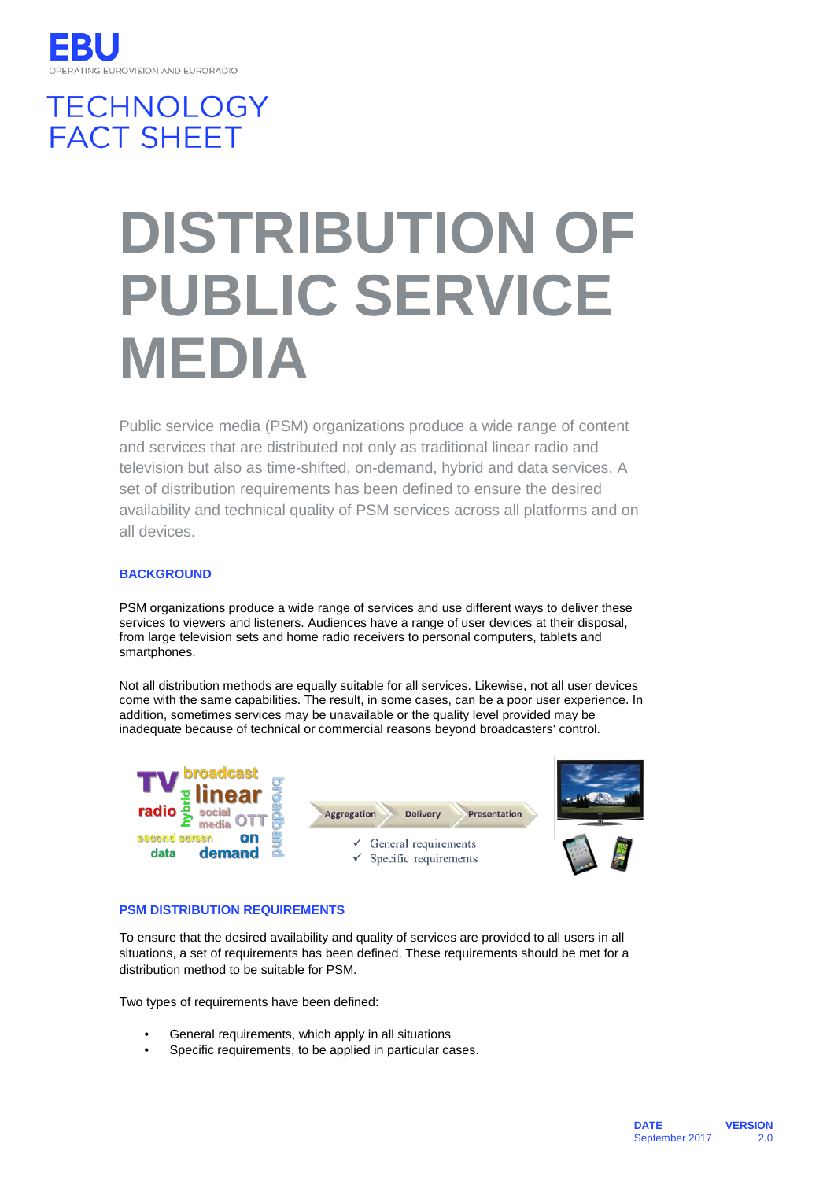# **TECHNOLOGY FACT SHEET**

# **DISTRIBUTION OF PUBLIC SERVICE MEDIA**

Public service media (PSM) organizations produce a wide range of content and services that are distributed not only as traditional linear radio and television but also as time-shifted, on-demand, hybrid and data services. A set of distribution requirements has been defined to ensure the desired availability and technical quality of PSM services across all platforms and on all devices.

## **BACKGROUND**

PSM organizations produce a wide range of services and use different ways to deliver these services to viewers and listeners. Audiences have a range of user devices at their disposal, from large television sets and home radio receivers to personal computers, tablets and smartphones.

Not all distribution methods are equally suitable for all services. Likewise, not all user devices come with the same capabilities. The result, in some cases, can be a poor user experience. In addition, sometimes services may be unavailable or the quality level provided may be inadequate because of technical or commercial reasons beyond broadcasters' control.



### **PSM DISTRIBUTION REQUIREMENTS**

To ensure that the desired availability and quality of services are provided to all users in all situations, a set of requirements has been defined. These requirements should be met for a distribution method to be suitable for PSM.

Two types of requirements have been defined:

- General requirements, which apply in all situations
- Specific requirements, to be applied in particular cases.